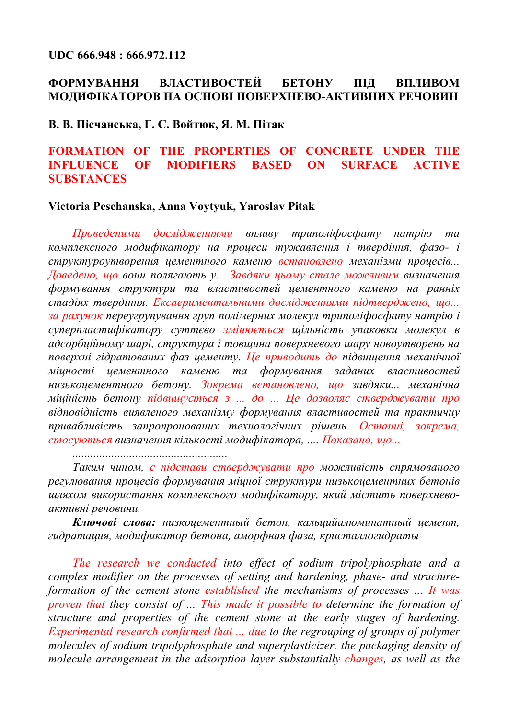#### **UDC 666.948 : 666.972.112**

## **ФОРМУВАННЯ ВЛАСТИВОСТЕЙ БЕТОНУ ПІД ВПЛИВОМ МОДИФІКАТОРОВ НА ОСНОВІ ПОВЕРХНЕВО-АКТИВНИХ РЕЧОВИН**

#### **В. В. Пісчанська, Г. С. Войтюк, Я. М. Пітак**

## **FORMATION OF THE PROPERTIES OF CONCRETE UNDER THE INFLUENCE OF MODIFIERS BASED ON SURFACE ACTIVE SUBSTANCES**

#### **Victoriа Peschanska, Anna Voytyuk, Yaroslav Pitak**

*Проведеними дослідженнями впливу триполіфосфату натрію та комплексного модифікатору на процеси тужавлення і твердіння, фазо- і структуроутворення цементного каменю встановлено механізми процесів... Доведено, що вони полягають у... Завдяки цьому стале можливим визначення формування структури та властивостей цементного каменю на ранніх стадіях твердіння. Експериментальними дослідженнями підтверджено, що... за рахунок переугрупування груп полімерних молекул триполіфосфату натрію і суперпластифікатору суттєво змінюється щільність упаковки молекул в адсорбційному шарі, структура і товщина поверхневого шару новоутворень на поверхні гідратованих фаз цементу. Це приводить до підвищення механічної міцності цементного каменю та формування заданих властивостей низькоцементного бетону. Зокрема встановлено, що завдяки... механічна міціність бетону підвищується з ... до ... Це дозволяє стверджувати про відповідність виявленого механізму формування властивостей та практичну привабливість запропронованих технологічних рішень. Останні, зокрема, стосуються визначення кількості модифікатора, .... Показано, що...*

*....................................................*

*Таким чином, є підстави стверджувати про можливість спрямованого регулювання процесів формування міцної структури низькоцементних бетонів шляхом використання комплексного модифікатору, який містить поверхневоактивні речовини.*

*Ключові слова: низкоцементный бетон, кальцийалюминатный цемент, гидратация, модификатор бетона, аморфная фаза, кристаллогидраты*

*The research we conducted into effect of sodium tripolyphosphate and a complex modifier on the processes of setting and hardening, phase- and structureformation of the cement stone established the mechanisms of processes ... It was proven that they consist of ... This made it possible to determine the formation of structure and properties of the cement stone at the early stages of hardening. Experimental research confirmed that ... due to the regrouping of groups of polymer molecules of sodium tripolyphosphate and superplasticizer, the packaging density of molecule arrangement in the adsorption layer substantially changes, as well as the*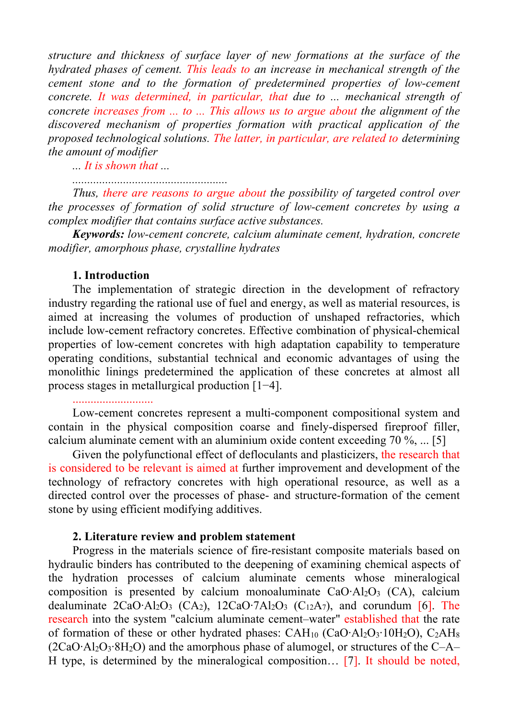*structure and thickness of surface layer of new formations at the surface of the hydrated phases of cement. This leads to an increase in mechanical strength of the cement stone and to the formation of predetermined properties of low-cement concrete. It was determined, in particular, that due to ... mechanical strength of concrete increases from ... to ... This allows us to argue about the alignment of the discovered mechanism of properties formation with practical application of the proposed technological solutions. The latter, in particular, are related to determining the amount of modifier*

*... It is shown that ...*

*....................................................*

*Thus, there are reasons to argue about the possibility of targeted control over the processes of formation of solid structure of low-cement concretes by using a complex modifier that contains surface active substances.*

*Keywords: low-cement concrete, calcium aluminate cement, hydration, concrete modifier, amorphous phase, crystalline hydrates*

#### **1. Introduction**

The implementation of strategic direction in the development of refractory industry regarding the rational use of fuel and energy, as well as material resources, is aimed at increasing the volumes of production of unshaped refractories, which include low-cement refractory concretes. Effective combination of physical-chemical properties of low-cement concretes with high adaptation capability to temperature operating conditions, substantial technical and economic advantages of using the monolithic linings predetermined the application of these concretes at almost all process stages in metallurgical production [1−4].

# ...........................

Low-cement concretes represent a multi-component compositional system and contain in the physical composition coarse and finely-dispersed fireproof filler, calcium aluminate cement with an aluminium oxide content exceeding 70 %, ... [5]

Given the polyfunctional effect of defloculants and plasticizers, the research that is considered to be relevant is aimed at further improvement and development of the technology of refractory concretes with high operational resource, as well as a directed control over the processes of phase- and structure-formation of the cement stone by using efficient modifying additives.

#### **2. Literature review and problem statement**

Progress in the materials science of fire-resistant composite materials based on hydraulic binders has contributed to the deepening of examining chemical aspects of the hydration processes of calcium aluminate cements whose mineralogical composition is presented by calcium monoaluminate CaO∙Al2O3 (СА), calcium dealuminate 2CaO⋅Al<sub>2</sub>O<sub>3</sub> (CA<sub>2</sub>), 12CaO⋅7Al<sub>2</sub>O<sub>3</sub> (C<sub>12</sub>A<sub>7</sub>), and corundum [6]. The research into the system "calcium aluminate cement-water" established that the rate of formation of these or other hydrated phases: CAH10 (CaO∙Al2O3∙10H2O), C2AH8 (2CaO∙Al2O3∙8H2O) and the amorphous phase of alumogel, or structures of the С–А– Н type, is determined by the mineralogical composition… [7]. It should be noted,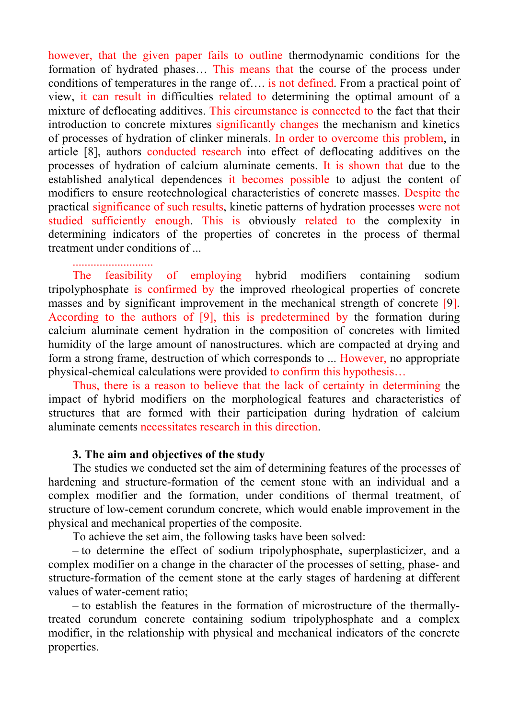however, that the given paper fails to outline thermodynamic conditions for the formation of hydrated phases… This means that the course of the process under conditions of temperatures in the range of…. is not defined. From a practical point of view, it can result in difficulties related to determining the optimal amount of a mixture of deflocating additives. This circumstance is connected to the fact that their introduction to concrete mixtures significantly changes the mechanism and kinetics of processes of hydration of clinker minerals. In order to overcome this problem, in article [8], authors conducted research into effect of deflocating additives on the processes of hydration of calcium aluminate cements. It is shown that due to the established analytical dependences it becomes possible to adjust the content of modifiers to ensure reotechnological characteristics of concrete masses. Despite the practical significance of such results, kinetic patterns of hydration processes were not studied sufficiently enough. This is obviously related to the complexity in determining indicators of the properties of concretes in the process of thermal treatment under conditions of ...

# ...........................

The feasibility of employing hybrid modifiers containing sodium tripolyphosphate is confirmed by the improved rheological properties of concrete masses and by significant improvement in the mechanical strength of concrete [9]. According to the authors of [9], this is predetermined by the formation during calcium aluminate cement hydration in the composition of concretes with limited humidity of the large amount of nanostructures. which are compacted at drying and form a strong frame, destruction of which corresponds to ... However, no appropriate physical-chemical calculations were provided to confirm this hypothesis…

Thus, there is a reason to believe that the lack of certainty in determining the impact of hybrid modifiers on the morphological features and characteristics of structures that are formed with their participation during hydration of calcium aluminate cements necessitates research in this direction.

#### **3. The aim and objectives of the study**

The studies we conducted set the aim of determining features of the processes of hardening and structure-formation of the cement stone with an individual and a complex modifier and the formation, under conditions of thermal treatment, of structure of low-cement corundum concrete, which would enable improvement in the physical and mechanical properties of the composite.

To achieve the set aim, the following tasks have been solved:

– to determine the effect of sodium tripolyphosphate, superplasticizer, and a complex modifier on a change in the character of the processes of setting, phase- and structure-formation of the cement stone at the early stages of hardening at different values of water-cement ratio;

– to establish the features in the formation of microstructure of the thermallytreated corundum concrete containing sodium tripolyphosphate and a complex modifier, in the relationship with physical and mechanical indicators of the concrete properties.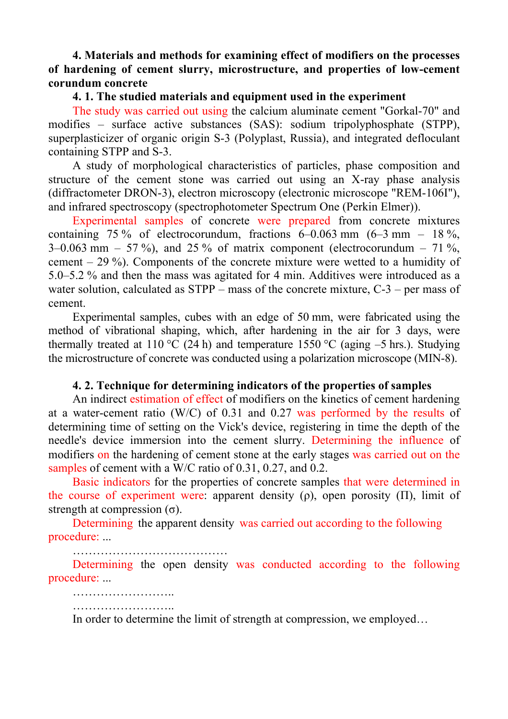## **4. Materials and methods for examining effect of modifiers on the processes of hardening of cement slurry, microstructure, and properties of low-cement corundum concrete**

#### **4. 1. The studied materials and equipment used in the experiment**

The study was carried out using the calcium aluminate cement "Gorkal-70" and modifies – surface active substances (SAS): sodium tripolyphosphate (STPP), superplasticizer of organic origin S-3 (Polyplast, Russia), and integrated defloculant containing STPP and S-3.

A study of morphological characteristics of particles, phase composition and structure of the cement stone was carried out using an X-ray phase analysis (diffractometer DRON-3), electron microscopy (electronic microscope "REM-106I"), and infrared spectroscopy (spectrophotometer Spectrum One (Perkin Elmer)).

Experimental samples of concrete were prepared from concrete mixtures containing 75 % of electrocorundum, fractions  $6-0.063$  mm  $(6-3$  mm  $-18$ %,  $3-0.063$  mm  $-57\%$ ), and 25% of matrix component (electrocorundum  $-71\%$ , cement – 29 %). Components of the concrete mixture were wetted to a humidity of 5.0–5.2 % and then the mass was agitated for 4 min. Additives were introduced as a water solution, calculated as  $STPP$  – mass of the concrete mixture,  $C-3$  – per mass of cement.

Experimental samples, cubes with an edge of 50 mm, were fabricated using the method of vibrational shaping, which, after hardening in the air for 3 days, were thermally treated at 110 °C (24 h) and temperature 1550 °C (aging  $-5$  hrs.). Studying the microstructure of concrete was conducted using a polarization microscope (MIN-8).

#### **4. 2. Technique for determining indicators of the properties of samples**

An indirect estimation of effect of modifiers on the kinetics of cement hardening at a water-cement ratio (W/C) of 0.31 and 0.27 was performed by the results of determining time of setting on the Vick's device, registering in time the depth of the needle's device immersion into the cement slurry. Determining the influence of modifiers on the hardening of cement stone at the early stages was carried out on the samples of cement with a W/C ratio of 0.31, 0.27, and 0.2.

Basic indicators for the properties of concrete samples that were determined in the course of experiment were: apparent density  $(\rho)$ , open porosity  $(\Pi)$ , limit of strength at compression  $(\sigma)$ .

Determining the apparent density was carried out according to the following procedure: ...

……………………………………

……………………………

Determining the open density was conducted according to the following procedure: ...

…………………………… In order to determine the limit of strength at compression, we employed…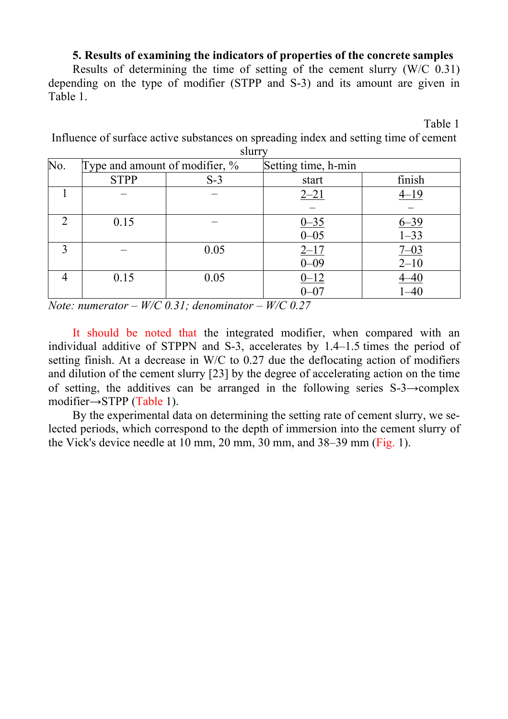#### **5. Results of examining the indicators of properties of the concrete samples**

Results of determining the time of setting of the cement slurry (W/C 0.31) depending on the type of modifier (STPP and S-3) and its amount are given in Table 1.

Table 1

Influence of surface active substances on spreading index and setting time of cement slurry

| No.         | Type and amount of modifier, $\%$ |       | Setting time, h-min |                     |  |
|-------------|-----------------------------------|-------|---------------------|---------------------|--|
|             | <b>STPP</b>                       | $S-3$ | start               | finish              |  |
|             |                                   |       | $2 - 21$            | $4 - 19$            |  |
|             |                                   |       |                     |                     |  |
| റ           | 0.15                              |       | $\frac{0-35}{0-05}$ | $\frac{6-39}{1-33}$ |  |
|             |                                   |       |                     |                     |  |
| $\mathbf 2$ |                                   | 0.05  | $2 - 17$            | $\frac{7-03}{2-10}$ |  |
|             |                                   |       | $0 - 09$            |                     |  |
|             | 0.15                              | 0.05  | $0 - 12$            | 4–40                |  |
|             |                                   |       | $0 - 07$            | 1–40                |  |

*Note: numerator – W/C 0.31; denominator – W/C 0.27*

It should be noted that the integrated modifier, when compared with an individual additive of STPPN and S-3, accelerates by 1.4–1.5 times the period of setting finish. At a decrease in W/C to 0.27 due the deflocating action of modifiers and dilution of the cement slurry [23] by the degree of accelerating action on the time of setting, the additives can be arranged in the following series  $S-3\rightarrow$ complex modifier→STPP (Table 1).

By the experimental data on determining the setting rate of cement slurry, we selected periods, which correspond to the depth of immersion into the cement slurry of the Vick's device needle at 10 mm, 20 mm, 30 mm, and 38–39 mm (Fig. 1).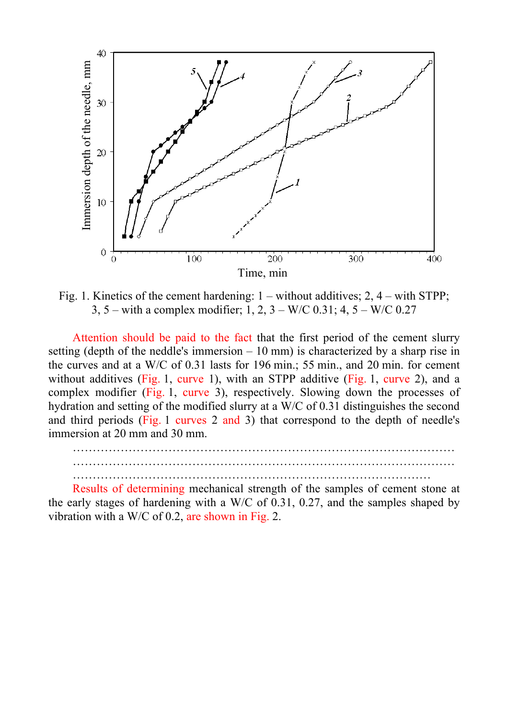

Fig. 1. Kinetics of the cement hardening: 1 – without additives; 2, 4 – with STPP; 3, 5 – with a complex modifier; 1, 2,  $3 - W/C$  0.31; 4,  $5 - W/C$  0.27

Attention should be paid to the fact that the first period of the cement slurry setting (depth of the neddle's immersion  $-10$  mm) is characterized by a sharp rise in the curves and at a W/C of 0.31 lasts for 196 min.; 55 min., and 20 min. for cement without additives (Fig. 1, curve 1), with an STPP additive (Fig. 1, curve 2), and a complex modifier (Fig. 1, curve 3), respectively. Slowing down the processes of hydration and setting of the modified slurry at a W/C of 0.31 distinguishes the second and third periods (Fig. 1 curves 2 and 3) that correspond to the depth of needle's immersion at 20 mm and 30 mm.

…………………………………………………………………………………… …………………………………………………………………………………… ………………………………………………………………………………

Results of determining mechanical strength of the samples of cement stone at the early stages of hardening with a W/C of 0.31, 0.27, and the samples shaped by vibration with a W/C of 0.2, are shown in Fig. 2.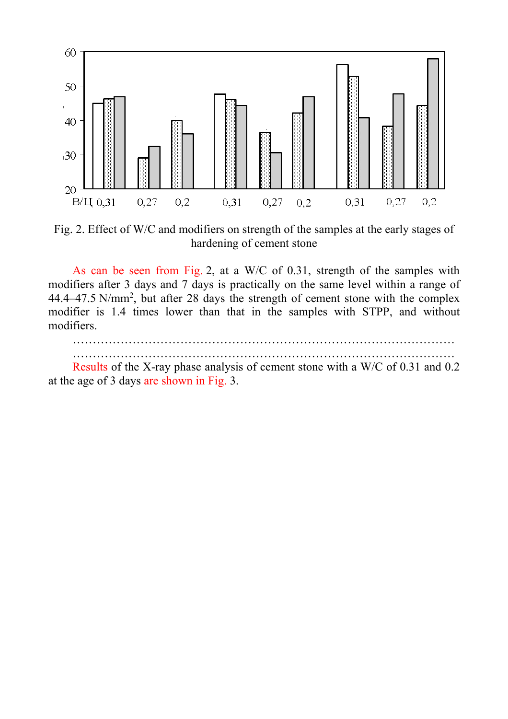

Fig. 2. Effect of W/C and modifiers on strength of the samples at the early stages of hardening of cement stone

As can be seen from Fig. 2, at a W/C of 0.31, strength of the samples with modifiers after 3 days and 7 days is practically on the same level within a range of  $44.4 - 47.5$  N/mm<sup>2</sup>, but after 28 days the strength of cement stone with the complex modifier is 1.4 times lower than that in the samples with STPP, and without modifiers.

…………………………………………………………………………………… ……………………………………………………………………………………

Results of the X-ray phase analysis of cement stone with a W/C of 0.31 and 0.2 at the age of 3 days are shown in Fig. 3.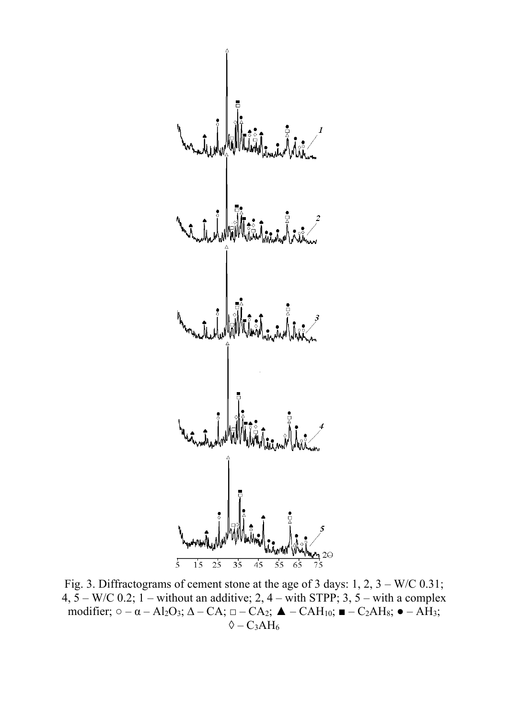| \n\n $\frac{1}{5}$ \n | \n\n $\frac{1}{5}$ \n | \n\n $\frac{1}{5}$ \n | \n\n $\frac{1}{5}$ \n | \n\n $\frac{1}{5}$ \n | \n\n $\frac{1}{5}$ \n | \n\n $\frac{1}{5}$ \n | \n\n $\frac{1}{5}$ \n | \n\n $\frac{1}{5}$ \n | \n\n $\frac{1}{5}$ \n | \n\n $\frac{1}{5}$ \n | \n\n $\frac{1}{5}$ \n | \n\n $\frac{1}{5}$ \n | \n\n $\frac{1}{5}$ \n | \n\n $\frac{1}{5}$ \n | \n\n $\frac{1}{5}$ \n | \n\n $\frac{1}{5}$ \n | \n\n $\frac{1}{5}$ \n | \n\n $\frac{1}{5}$ \n | \n\n $\frac{1}{5}$ \n | \n\n $\frac{1}{5}$ \n | \n\n $\frac{1}{5}$ \n | \n\n $\frac{1}{5}$ \n | \n\n $\frac{1}{5}$ \n | \n\n $\frac{1}{5}$ \n | \n\n $\frac{1}{5}$ \n | \n\n $\frac{1}{5}$ \n | \n\n $\frac{1}{5}$ \n | \n\n $\frac{1}{5}$ \n | \n\n $\frac{1}{5}$ \n | \n\n $\frac{1}{5}$ \n | \n\n $\frac{1}{5}$ \n | \n\n $\frac{1}{5}$ \n | \n\n $\frac{1}{5}$ \n | \n\n $\frac{1}{5}$ \n | \n\n $\frac{1}{5}$ \n | \n\n $\frac{1}{5}$ \n | \n\n $\frac{1}{5}$ \n |
|-----------------------|-----------------------|-----------------------|-----------------------|-----------------------|-----------------------|-----------------------|-----------------------|-----------------------|-----------------------|-----------------------|-----------------------|-----------------------|-----------------------|-----------------------|-----------------------|-----------------------|-----------------------|-----------------------|-----------------------|-----------------------|-----------------------|-----------------------|-----------------------|-----------------------|-----------------------|-----------------------|-----------------------|-----------------------|-----------------------|-----------------------|-----------------------|-----------------------|-----------------------|-----------------------|-----------------------|-----------------------|-----------------------|
|-----------------------|-----------------------|-----------------------|-----------------------|-----------------------|-----------------------|-----------------------|-----------------------|-----------------------|-----------------------|-----------------------|-----------------------|-----------------------|-----------------------|-----------------------|-----------------------|-----------------------|-----------------------|-----------------------|-----------------------|-----------------------|-----------------------|-----------------------|-----------------------|-----------------------|-----------------------|-----------------------|-----------------------|-----------------------|-----------------------|-----------------------|-----------------------|-----------------------|-----------------------|-----------------------|-----------------------|-----------------------|-----------------------|

Fig. 3. Diffractograms of cement stone at the age of 3 days: 1, 2, 3 – W/C 0.31;  $4, 5 - W/C$  0.2; 1 – without an additive; 2, 4 – with STPP; 3, 5 – with a complex modifier;  $\circ -\alpha - Al_2O_3$ ;  $\Delta - CA$ ;  $\Box - CA_2$ ;  $\blacktriangle - CAH_{10}$ ;  $\blacktriangleright$  –  $C_2AH_8$ ;  $\blacktriangleright$  –  $AH_3$ ;  $\Diamond$  – СзАН<sub>6</sub>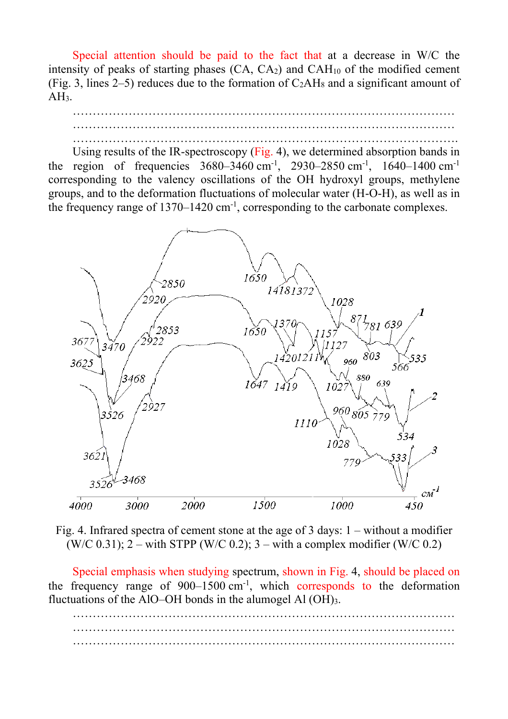Special attention should be paid to the fact that at a decrease in W/C the intensity of peaks of starting phases  $(CA, CA_2)$  and  $CAH_{10}$  of the modified cement (Fig. 3, lines 2–5) reduces due to the formation of  $C_2AH_8$  and a significant amount of  $AH<sub>3</sub>$ .



Using results of the IR-spectroscopy (Fig. 4), we determined absorption bands in the region of frequencies  $3680 - 3460$  cm<sup>-1</sup>, 2930–2850 cm<sup>-1</sup>, 1640–1400 cm<sup>-1</sup> corresponding to the valency oscillations of the OH hydroxyl groups, methylene groups, and to the deformation fluctuations of molecular water (H-O-H), as well as in the frequency range of  $1370-1420$  cm<sup>-1</sup>, corresponding to the carbonate complexes.



Fig. 4. Infrared spectra of cement stone at the age of 3 days: 1 – without a modifier (W/C 0.31);  $2 - \text{with STPP (W/C 0.2)}$ ;  $3 - \text{with a complex modifier (W/C 0.2)}$ 

Special emphasis when studying spectrum, shown in Fig. 4, should be placed on the frequency range of  $900-1500$  cm<sup>-1</sup>, which corresponds to the deformation fluctuations of the AlO–OH bonds in the alumogel Al (OH)3.

…………………………………………………………………………………… …………………………………………………………………………………… ……………………………………………………………………………………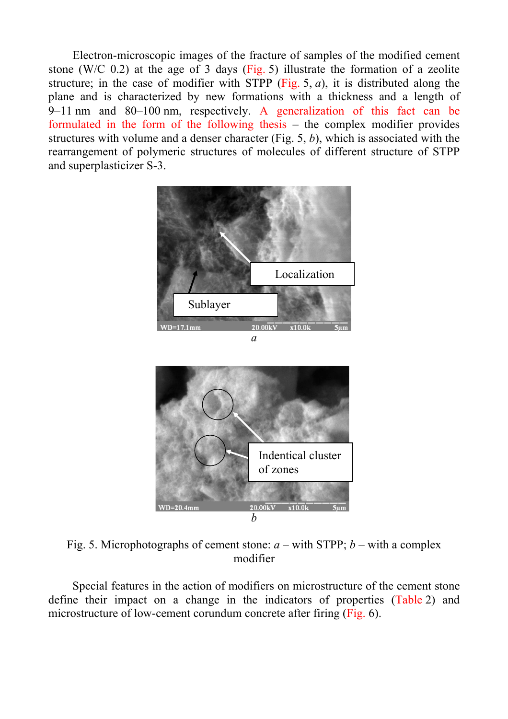Electron-microscopic images of the fracture of samples of the modified cement stone (W/C 0.2) at the age of 3 days (Fig. 5) illustrate the formation of a zeolite structure; in the case of modifier with STPP (Fig. 5, *a*), it is distributed along the plane and is characterized by new formations with a thickness and a length of 9‒11 nm and 80–100 nm, respectively. A generalization of this fact can be formulated in the form of the following thesis  $-$  the complex modifier provides structures with volume and a denser character (Fig. 5, *b*), which is associated with the rearrangement of polymeric structures of molecules of different structure of STPP and superplasticizer S-3.





Fig. 5. Microphotographs of cement stone:  $a$  – with STPP;  $b$  – with a complex modifier

Special features in the action of modifiers on microstructure of the cement stone define their impact on a change in the indicators of properties (Table 2) and microstructure of low-cement corundum concrete after firing (Fig. 6).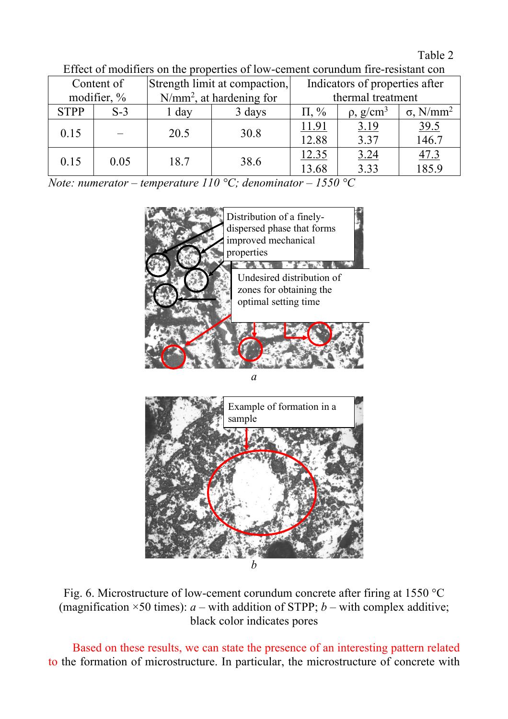## Table 2

| Content of     |       | Strength limit at compaction, |        | Indicators of properties after |                            |                              |
|----------------|-------|-------------------------------|--------|--------------------------------|----------------------------|------------------------------|
| modifier, $\%$ |       | $N/mm^2$ , at hardening for   |        | thermal treatment              |                            |                              |
| <b>STPP</b>    | $S-3$ | $1$ day                       | 3 days | $\Pi$ , %                      | $\rho$ , g/cm <sup>3</sup> | $\sigma$ , N/mm <sup>2</sup> |
| 0.15           |       | 20.5                          | 30.8   | 11.91                          | 3.19                       | $\frac{39.5}{146.7}$         |
|                |       |                               |        | 12.88                          | 3.37                       |                              |
| 0.15           | 0.05  | 18.7                          | 38.6   | 12.35                          | 3.24                       | 47.3                         |
|                |       |                               |        | 13.68                          | 3.33                       | 185.9                        |

Effect of modifiers on the properties of low-cement corundum fire-resistant con

*Note: numerator – temperature 110 °C; denominator – 1550 °C*



*a*



Fig. 6. Microstructure of low-cement corundum concrete after firing at 1550 °C (magnification  $\times$ 50 times): *a* – with addition of STPP; *b* – with complex additive; black color indicates pores

Based on these results, we can state the presence of an interesting pattern related to the formation of microstructure. In particular, the microstructure of concrete with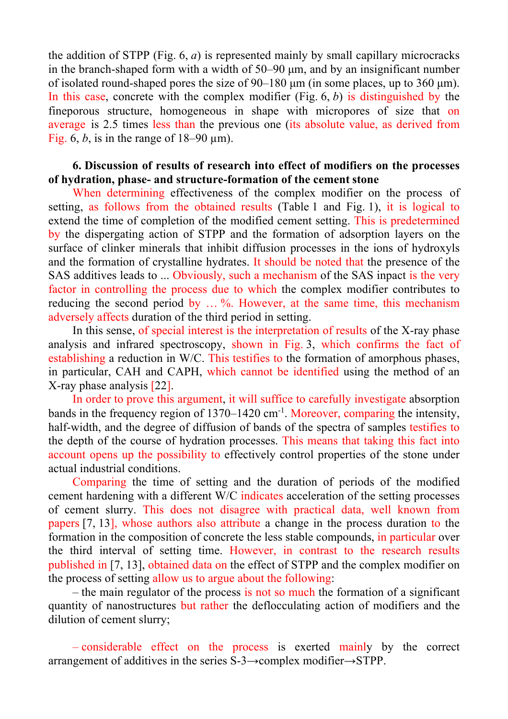the addition of STPP (Fig. 6, *a*) is represented mainly by small capillary microcracks in the branch-shaped form with a width of  $50-90 \mu m$ , and by an insignificant number of isolated round-shaped pores the size of  $90-180 \mu m$  (in some places, up to  $360 \mu m$ ). In this case, concrete with the complex modifier (Fig. 6, *b*) is distinguished by the fineporous structure, homogeneous in shape with micropores of size that on average is 2.5 times less than the previous one (its absolute value, as derived from Fig. 6, *b*, is in the range of  $18-90 \text{ }\mu\text{m}$ ).

## **6. Discussion of results of research into effect of modifiers on the processes of hydration, phase- and structure-formation of the cement stone**

When determining effectiveness of the complex modifier on the process of setting, as follows from the obtained results (Table 1 and Fig. 1), it is logical to extend the time of completion of the modified cement setting. This is predetermined by the dispergating action of STPP and the formation of adsorption layers on the surface of clinker minerals that inhibit diffusion processes in the ions of hydroxyls and the formation of crystalline hydrates. It should be noted that the presence of the SAS additives leads to ... Obviously, such a mechanism of the SAS inpact is the very factor in controlling the process due to which the complex modifier contributes to reducing the second period by ... %. However, at the same time, this mechanism adversely affects duration of the third period in setting.

In this sense, of special interest is the interpretation of results of the X-ray phase analysis and infrared spectroscopy, shown in Fig. 3, which confirms the fact of establishing a reduction in W/C. This testifies to the formation of amorphous phases, in particular, САН and САРН, which cannot be identified using the method of an X-ray phase analysis [22].

In order to prove this argument, it will suffice to carefully investigate absorption bands in the frequency region of 1370–1420 cm<sup>-1</sup>. Moreover, comparing the intensity, half-width, and the degree of diffusion of bands of the spectra of samples testifies to the depth of the course of hydration processes. This means that taking this fact into account opens up the possibility to effectively control properties of the stone under actual industrial conditions.

Comparing the time of setting and the duration of periods of the modified cement hardening with a different W/C indicates acceleration of the setting processes of cement slurry. This does not disagree with practical data, well known from papers [7, 13], whose authors also attribute a change in the process duration to the formation in the composition of concrete the less stable compounds, in particular over the third interval of setting time. However, in contrast to the research results published in [7, 13], obtained data on the effect of STPP and the complex modifier on the process of setting allow us to argue about the following:

– the main regulator of the process is not so much the formation of a significant quantity of nanostructures but rather the deflocculating action of modifiers and the dilution of cement slurry;

– considerable effect on the process is exerted mainly by the correct arrangement of additives in the series S-3→complex modifier→STPP.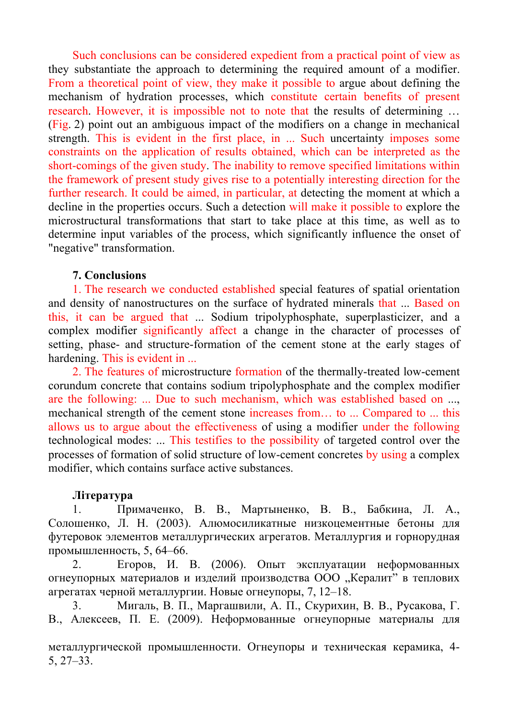Such conclusions can be considered expedient from a practical point of view as they substantiate the approach to determining the required amount of a modifier. From a theoretical point of view, they make it possible to argue about defining the mechanism of hydration processes, which constitute certain benefits of present research. However, it is impossible not to note that the results of determining … (Fig. 2) point out an ambiguous impact of the modifiers on a change in mechanical strength. This is evident in the first place, in ... Such uncertainty imposes some constraints on the application of results obtained, which can be interpreted as the short-comings of the given study. The inability to remove specified limitations within the framework of present study gives rise to a potentially interesting direction for the further research. It could be aimed, in particular, at detecting the moment at which a decline in the properties occurs. Such a detection will make it possible to explore the microstructural transformations that start to take place at this time, as well as to determine input variables of the process, which significantly influence the onset of "negative" transformation.

## **7. Conclusions**

1. The research we conducted established special features of spatial orientation and density of nanostructures on the surface of hydrated minerals that ... Based on this, it can be argued that ... Sodium tripolyphosphate, superplasticizer, and a complex modifier significantly affect a change in the character of processes of setting, phase- and structure-formation of the cement stone at the early stages of hardening. This is evident in ...

2. The features of microstructure formation of the thermally-treated low-cement corundum concrete that contains sodium tripolyphosphate and the complex modifier are the following: ... Due to such mechanism, which was established based on ..., mechanical strength of the cement stone increases from… to ... Compared to ... this allows us to argue about the effectiveness of using a modifier under the following technological modes: ... This testifies to the possibility of targeted control over the processes of formation of solid structure of low-cement concretes by using a complex modifier, which contains surface active substances.

#### **Література**

1. Примаченко, В. В., Мартыненко, В. В., Бабкина, Л. А., Солошенко, Л. Н. (2003). Алюмосиликатные низкоцементные бетоны для футеровок элементов металлургических агрегатов. Металлургия и горнорудная промышленность, 5, 64–66.

2. Егоров, И. В. (2006). Опыт эксплуатации неформованных огнеупорных материалов и изделий производства ООО "Кералит" в теплових агрегатах черной металлургии. Новые огнеупоры, 7, 12–18.

3. Мигаль, В. П., Маргашвили, А. П., Скурихин, В. В., Русакова, Г. В., Алексеев, П. Е. (2009). Неформованные огнеупорные материалы для

металлургической промышленности. Огнеупоры и техническая керамика, 4- 5, 27–33.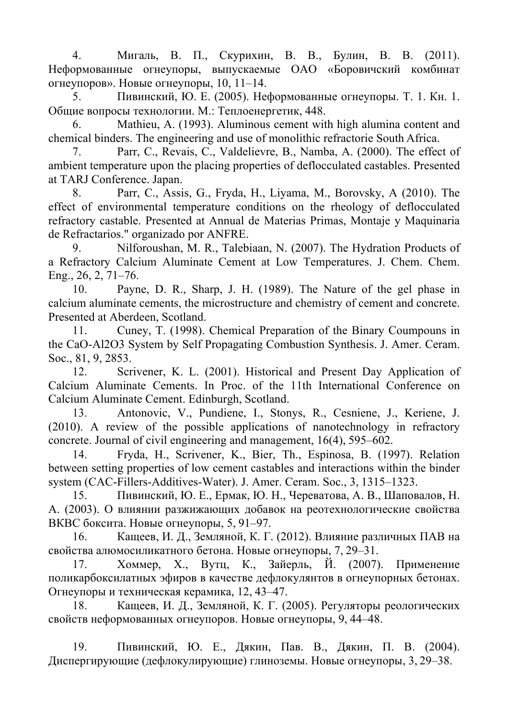4. Мигаль, В. П., Скурихин, В. В., Булин, В. В. (2011). Неформованные огнеупоры, выпускаемые ОАО «Боровичский комбинат огнеупоров». Новые огнеупоры, 10, 11–14.

5. Пивинский, Ю. Е. (2005). Неформованные огнеупоры. Т. 1. Кн. 1. Общие вопросы технологии. М.: Теплоенергетик, 448.

6. Mathieu, A. (1993). Aluminous cement with high alumina content and chemical binders. The engineering and use of monolithic refractorie South Africa.

7. Parr, C., Revais, C., Valdelievre, B., Namba, A. (2000). The effect of ambient temperature upon the placing properties of deflocculated castables. Presented at TARJ Conference. Japan.

8. Parr, C., Assis, G., Fryda, H., Liyama, M., Borovsky, A (2010). The effect of environmental temperature conditions on the rheology of deflocculated refractory castable. Presented at Annual de Materias Primas, Montaje y Maquinaria de Refractarios." organizado por ANFRE.

9. Nilforoushan, M. R., Talebiaan, N. (2007). The Hydration Products of a Refractory Calcium Aluminate Cement at Low Temperatures. J. Chem. Chem. Eng., 26, 2, 71–76.

10. Payne, D. R., Sharp, J. H. (1989). The Nature of the gel phase in calcium aluminate cements, the microstructure and chemistry of cement and concrete. Presented at Aberdeen, Scotland.

11. Cuney, T. (1998). Chemical Preparation of the Binary Coumpouns in the CaO-Al2O3 System by Self Propagating Combustion Synthesis. J. Amer. Ceram. Soc., 81, 9, 2853.

12. Scrivener, K. L. (2001). Historical and Present Day Application of Calcium Aluminate Cements. In Proc. of the 11th International Conference on Calcium Aluminate Cement. Edinburgh, Scotland.

13. Antonovic, V., Pundiene, I., Stonys, R., Cesniene, J., Keriene, J. (2010). A review of the possible applications of nanotechnology in refractory concrete. Journal of civil engineering and management, 16(4), 595–602.

14. Fryda, H., Scrivener, K., Bier, Th., Espinosa, B. (1997). Relation between setting properties of low cement castables and interactions within the binder system (CAC-Fillers-Additives-Water). J. Amer. Ceram. Soc., 3, 1315–1323.

15. Пивинский, Ю. Е., Ермак, Ю. Н., Череватова, А. В., Шаповалов, Н. А. (2003). О влиянии разжижающих добавок на реотехнологические свойства ВКВС боксита. Новые огнеупоры, 5, 91–97.

16. Кащеев, И. Д., Земляной, К. Г. (2012). Влияние различных ПАВ на свойства алюмосиликатного бетона. Новые огнеупоры, 7, 29–31.

17. Хоммер, Х., Вутц, К., Зайерль, Й. (2007). Применение поликарбоксилатных эфиров в качестве дефлокулянтов в огнеупорных бетонах. Огнеупоры и техническая керамика, 12, 43–47.

18. Кащеев, И. Д., Земляной, К. Г. (2005). Регуляторы реологических свойств неформованных огнеупоров. Новые огнеупоры, 9, 44–48.

19. Пивинский, Ю. Е., Дякин, Пав. В., Дякин, П. В. (2004). Диспергирующие (дефлокулирующие) глиноземы. Новые огнеупоры, 3, 29–38.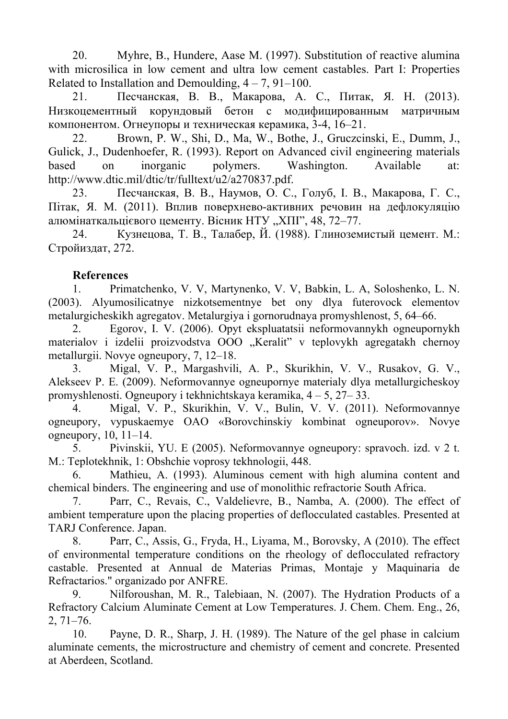20. Myhre, B., Hundere, Aase M. (1997). Substitution of reactive alumina with microsilica in low cement and ultra low cement castables. Part I: Properties Related to Installation and Demoulding,  $4 - 7$ ,  $91 - 100$ .

21. Песчанская, В. В., Макарова, А. С., Питак, Я. Н. (2013). Низкоцементный корундовый бетон с модифицированным матричным компонентом. Огнеупоры и техническая керамика, 3-4, 16–21.

22. Brown, P. W., Shi, D., Ma, W., Bothe, J., Gruczcinski, E., Dumm, J., Gulick, J., Dudenhoefer, R. (1993). Report on Advanced civil engineering materials based on inorganic polymers. Washington. Available at: http://www.dtic.mil/dtic/tr/fulltext/u2/a270837.pdf.

23. Песчанская, В. В., Наумов, О. С., Голуб, І. В., Макарова, Г. С., Пітак, Я. М. (2011). Вплив поверхнево-активних речовин на дефлокуляцію алюмінаткальцієвого цементу. Вісник НТУ "ХПІ", 48, 72-77.

24. Кузнецова, Т. В., Талабер, Й. (1988). Глиноземистый цемент. М.: Стройиздат, 272.

## **References**

1. Primatchenko, V. V, Martynenko, V. V, Babkin, L. A, Soloshenko, L. N. (2003). Alyumosilicatnye nizkotsementnye bet ony dlya futerovock elementov metalurgicheskikh agregatov. Metalurgiya i gornorudnaya promyshlenost, 5, 64–66.

2. Egorov, I. V. (2006). Opyt ekspluatatsii neformovannykh ogneupornykh materialov i izdelii proizvodstva OOO "Keralit" v teplovykh agregatakh chernoy metallurgii. Novye ogneupory, 7, 12–18.

3. Migal, V. P., Margashvili, A. P., Skurikhin, V. V., Rusakov, G. V., Alekseev P. E. (2009). Neformovannye ogneupornye materialy dlya metallurgicheskoy promyshlenosti. Ogneupory i tekhnichtskaya keramika, 4 – 5, 27– 33.

4. Migal, V. P., Skurikhin, V. V., Bulin, V. V. (2011). Neformovannye ogneupory, vypuskaemye OAO «Borovchinskiy kombinat ogneuporov». Novye ogneupory, 10, 11–14.

5. Pivinskii, YU. E (2005). Neformovannye ogneupory: spravoch. izd. v 2 t. M.: Teplotekhnik, 1: Obshchie voprosy tekhnologii, 448.

6. Mathieu, A. (1993). Aluminous cement with high alumina content and chemical binders. The engineering and use of monolithic refractorie South Africa.

7. Parr, C., Revais, C., Valdelievre, B., Namba, A. (2000). The effect of ambient temperature upon the placing properties of deflocculated castables. Presented at TARJ Conference. Japan.

8. Parr, C., Assis, G., Fryda, H., Liyama, M., Borovsky, A (2010). The effect of environmental temperature conditions on the rheology of deflocculated refractory castable. Presented at Annual de Materias Primas, Montaje y Maquinaria de Refractarios." organizado por ANFRE.

9. Nilforoushan, M. R., Talebiaan, N. (2007). The Hydration Products of a Refractory Calcium Aluminate Cement at Low Temperatures. J. Chem. Chem. Eng., 26, 2, 71–76.

10. Payne, D. R., Sharp, J. H. (1989). The Nature of the gel phase in calcium aluminate cements, the microstructure and chemistry of cement and concrete. Presented at Aberdeen, Scotland.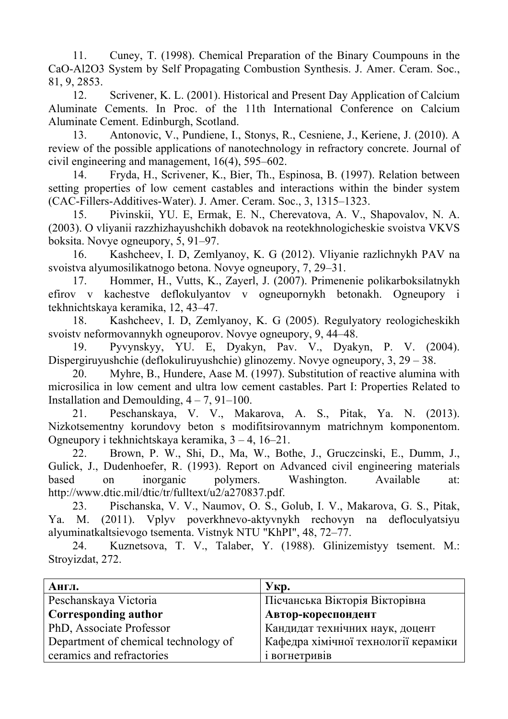11. Cuney, T. (1998). Chemical Preparation of the Binary Coumpouns in the CaO-Al2O3 System by Self Propagating Combustion Synthesis. J. Amer. Ceram. Soc., 81, 9, 2853.

12. Scrivener, K. L. (2001). Historical and Present Day Application of Calcium Aluminate Cements. In Proc. of the 11th International Conference on Calcium Aluminate Cement. Edinburgh, Scotland.

13. Antonovic, V., Pundiene, I., Stonys, R., Cesniene, J., Keriene, J. (2010). A review of the possible applications of nanotechnology in refractory concrete. Journal of civil engineering and management, 16(4), 595–602.

14. Fryda, H., Scrivener, K., Bier, Th., Espinosa, B. (1997). Relation between setting properties of low cement castables and interactions within the binder system (CAC-Fillers-Additives-Water). J. Amer. Ceram. Soc., 3, 1315–1323.

15. Pivinskii, YU. E, Ermak, E. N., Cherevatova, A. V., Shapovalov, N. A. (2003). O vliyanii razzhizhayushchikh dobavok na reotekhnologicheskie svoistva VKVS boksita. Novye ogneupory, 5, 91–97.

16. Kashcheev, I. D, Zemlyanoy, K. G (2012). Vliyanie razlichnykh PAV na svoistva alyumosilikatnogo betona. Novye ogneupory, 7, 29–31.

17. Hommer, H., Vutts, K., Zayerl, J. (2007). Primenenie polikarboksilatnykh efirov v kachestve deflokulyantov v ogneupornykh betonakh. Ogneupory i tekhnichtskaya keramika, 12, 43–47.

18. Kashcheev, I. D, Zemlyanoy, K. G (2005). Regulyatory reologicheskikh svoistv neformovannykh ogneuporov. Novye ogneupory, 9, 44–48.

19. Pyvynskyy, YU. E, Dyakyn, Pav. V., Dyakyn, P. V. (2004). Dispergiruyushchie (deflokuliruyushchie) glinozemy. Novye ogneupory, 3, 29 – 38.

20. Myhre, B., Hundere, Aase M. (1997). Substitution of reactive alumina with microsilica in low cement and ultra low cement castables. Part I: Properties Related to Installation and Demoulding,  $4 - 7$ ,  $91 - 100$ .

21. Peschanskaya, V. V., Makarova, A. S., Pitak, Ya. N. (2013). Nizkotsementny korundovy beton s modifitsirovannym matrichnym komponentom. Ogneupory i tekhnichtskaya keramika, 3 – 4, 16–21.

22. Brown, P. W., Shi, D., Ma, W., Bothe, J., Gruczcinski, E., Dumm, J., Gulick, J., Dudenhoefer, R. (1993). Report on Advanced civil engineering materials based on inorganic polymers. Washington. Available at: http://www.dtic.mil/dtic/tr/fulltext/u2/a270837.pdf.

23. Pischanska, V. V., Naumov, O. S., Golub, I. V., Makarova, G. S., Pitak, Ya. M. (2011). Vplyv poverkhnevo-aktyvnykh rechovyn na defloculyatsiyu alyuminatkaltsievogo tsementa. Vistnyk NTU "KhPI", 48, 72–77.

24. Kuznetsova, T. V., Talaber, Y. (1988). Glinizemistyy tsement. M.: Stroyizdat, 272.

| Англ.                                | $YKP$ .                              |
|--------------------------------------|--------------------------------------|
| Peschanskaya Victoria                | Пісчанська Вікторія Вікторівна       |
| <b>Corresponding author</b>          | Автор-кореспондент                   |
| PhD, Associate Professor             | Кандидат технічних наук, доцент      |
| Department of chemical technology of | Кафедра хімічної технології кераміки |
| ceramics and refractories            | і вогнетривів                        |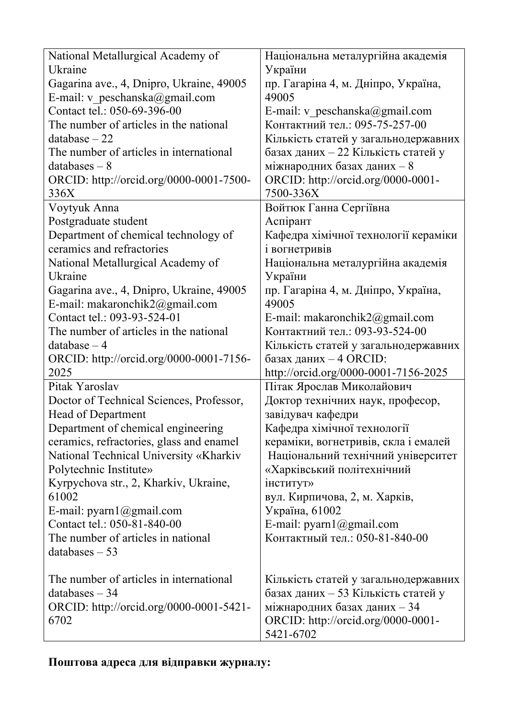| National Metallurgical Academy of<br>Ukraine                               | Національна металургійна академія<br>України |
|----------------------------------------------------------------------------|----------------------------------------------|
| Gagarina ave., 4, Dnipro, Ukraine, 49005<br>E-mail: v peschanska@gmail.com | пр. Гагаріна 4, м. Дніпро, Україна,<br>49005 |
| Contact tel.: 050-69-396-00                                                | E-mail: v peschanska@gmail.com               |
| The number of articles in the national                                     | Контактний тел.: 095-75-257-00               |
| $database - 22$                                                            | Кількість статей у загальнодержавних         |
| The number of articles in international                                    | базах даних - 22 Кількість статей у          |
| $databases - 8$                                                            | міжнародних базах даних - 8                  |
| ORCID: http://orcid.org/0000-0001-7500-                                    | ORCID: http://orcid.org/0000-0001-           |
| 336X                                                                       | 7500-336X                                    |
| Voytyuk Anna                                                               | Войтюк Ганна Сергіївна                       |
| Postgraduate student                                                       | Аспірант                                     |
| Department of chemical technology of                                       | Кафедра хімічної технології кераміки         |
| ceramics and refractories                                                  | і вогнетривів                                |
| National Metallurgical Academy of                                          | Національна металургійна академія            |
| Ukraine                                                                    | України                                      |
| Gagarina ave., 4, Dnipro, Ukraine, 49005                                   | пр. Гагаріна 4, м. Дніпро, Україна,          |
| E-mail: makaronchik2@gmail.com                                             | 49005                                        |
| Contact tel.: 093-93-524-01                                                | E-mail: makaronchik $2@g$ mail.com           |
| The number of articles in the national                                     | Контактний тел.: 093-93-524-00               |
| $database - 4$                                                             | Кількість статей у загальнодержавних         |
| ORCID: http://orcid.org/0000-0001-7156-                                    | базах даних - 4 ORCID:                       |
| 2025                                                                       | http://orcid.org/0000-0001-7156-2025         |
| Pitak Yaroslav                                                             | Пітак Ярослав Миколайович                    |
| Doctor of Technical Sciences, Professor,                                   | Доктор технічних наук, професор,             |
| <b>Head of Department</b>                                                  | завідувач кафедри                            |
| Department of chemical engineering                                         | Кафедра хімічної технології                  |
| ceramics, refractories, glass and enamel                                   | кераміки, вогнетривів, скла і емалей         |
| National Technical University «Kharkiv                                     | Національний технічний університет           |
| Polytechnic Institute»                                                     | «Харківський політехнічний                   |
| Kyrpychova str., 2, Kharkiv, Ukraine,                                      | інститут»                                    |
| 61002                                                                      | вул. Кирпичова, 2, м. Харків,                |
| E-mail: $pyarn1@gmail.com$                                                 | Україна, 61002                               |
| Contact tel.: 050-81-840-00                                                | E-mail: pyarn1@gmail.com                     |
| The number of articles in national                                         | Контактный тел.: 050-81-840-00               |
| databases $-53$                                                            |                                              |
| The number of articles in international                                    | Кількість статей у загальнодержавних         |
| $databases - 34$                                                           | базах даних - 53 Кількість статей у          |
| ORCID: http://orcid.org/0000-0001-5421-                                    | міжнародних базах даних - 34                 |
| 6702                                                                       | ORCID: http://orcid.org/0000-0001-           |
|                                                                            | 5421-6702                                    |

# **Поштова адреса для відправки журналу:**